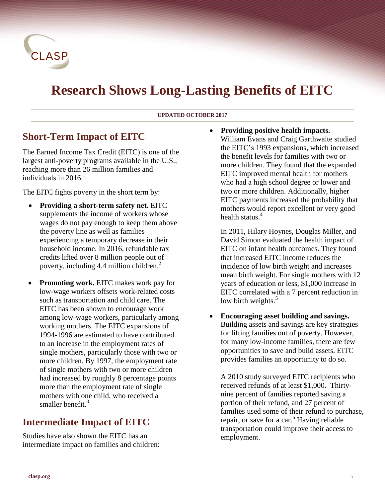

# **Research Shows Long-Lasting Benefits of EITC**

#### **UPDATED OCTOBER 2017**

### **Short-Term Impact of EITC**

The Earned Income Tax Credit (EITC) is one of the largest anti-poverty programs available in the U.S., reaching more than 26 million families and individuals in 2016. 1

The EITC fights poverty in the short term by:

- **Providing a short-term safety net.** EITC supplements the income of workers whose wages do not pay enough to keep them above the poverty line as well as families experiencing a temporary decrease in their household income. In 2016, refundable tax credits lifted over 8 million people out of poverty, including 4.4 million children. $<sup>2</sup>$ </sup>
- **Promoting work.** EITC makes work pay for low-wage workers offsets work-related costs such as transportation and child care. The EITC has been shown to encourage work among low-wage workers, particularly among working mothers. The EITC expansions of 1994-1996 are estimated to have contributed to an increase in the employment rates of single mothers, particularly those with two or more children. By 1997, the employment rate of single mothers with two or more children had increased by roughly 8 percentage points more than the employment rate of single mothers with one child, who received a smaller benefit.<sup>3</sup>

# **Intermediate Impact of EITC**

Studies have also shown the EITC has an intermediate impact on families and children:  **Providing positive health impacts.**  William Evans and Craig Garthwaite studied the EITC's 1993 expansions, which increased the benefit levels for families with two or more children. They found that the expanded EITC improved mental health for mothers who had a high school degree or lower and two or more children. Additionally, higher EITC payments increased the probability that mothers would report excellent or very good health status. 4

In 2011, Hilary Hoynes, Douglas Miller, and David Simon evaluated the health impact of EITC on infant health outcomes. They found that increased EITC income reduces the incidence of low birth weight and increases mean birth weight. For single mothers with 12 years of education or less, \$1,000 increase in EITC correlated with a 7 percent reduction in low birth weights.<sup>5</sup>

 **Encouraging asset building and savings.**  Building assets and savings are key strategies for lifting families out of poverty. However, for many low-income families, there are few opportunities to save and build assets. EITC provides families an opportunity to do so.

A 2010 study surveyed EITC recipients who received refunds of at least \$1,000. Thirtynine percent of families reported saving a portion of their refund, and 27 percent of families used some of their refund to purchase, repair, or save for a car.<sup>6</sup> Having reliable transportation could improve their access to employment.